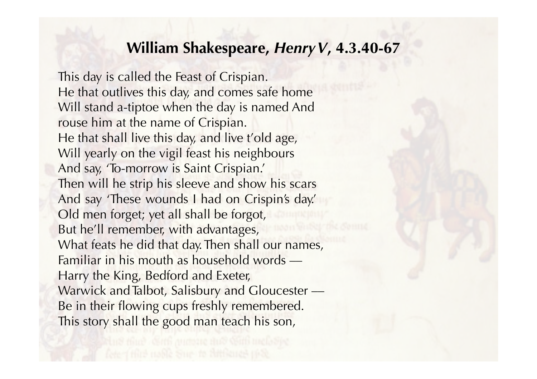## **William Shakespeare,** *HenryV***, 4.3.40-67**

This day is called the Feast of Crispian. He that outlives this day, and comes safe home Will stand a-tiptoe when the day is named And rouse him at the name of Crispian. He that shall live this day, and live t'old age, Will yearly on the vigil feast his neighbours And say, 'To-morrow is Saint Crispian.' Then will he strip his sleeve and show his scars And say 'These wounds I had on Crispin's day.' Old men forget; yet all shall be forgot, But he'll remember, with advantages, What feats he did that day. Then shall our names, Familiar in his mouth as household words –– Harry the King, Bedford and Exeter, Warwick and Talbot, Salisbury and Gloucester – Be in their flowing cups freshly remembered. This story shall the good man teach his son,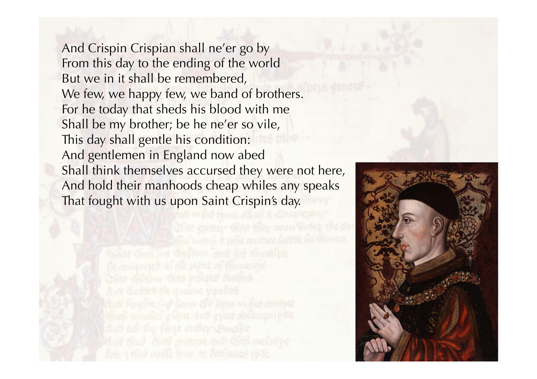And Crispin Crispian shall ne'er go by From this day to the ending of the world But we in it shall be remembered, We few, we happy few, we band of brothers. For he today that sheds his blood with me Shall be my brother; be he ne'er so vile, This day shall gentle his condition: And gentlemen in England now abed Shall think themselves accursed they were not here, And hold their manhoods cheap whiles any speaks That fought with us upon Saint Crispin's day.

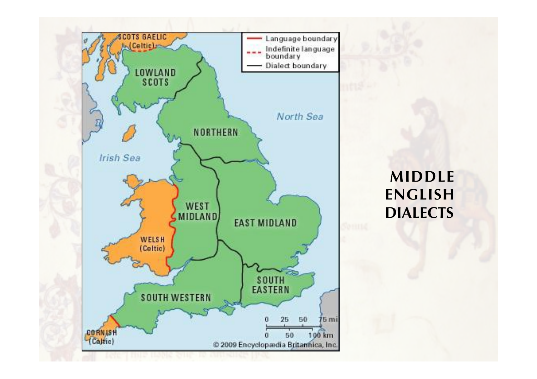

**MIDDLE ENGLISH DIALECTS**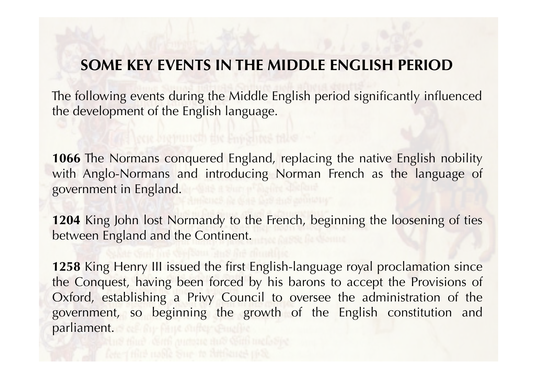## **SOME KEY EVENTS IN THE MIDDLE ENGLISH PERIOD**

The following events during the Middle English period significantly influenced the development of the English language.

**1066** The Normans conquered England, replacing the native English nobility with Anglo-Normans and introducing Norman French as the language of government in England.

**1204** King John lost Normandy to the French, beginning the loosening of ties between England and the Continent.

**1258** King Henry III issued the first English-language royal proclamation since the Conquest, having been forced by his barons to accept the Provisions of Oxford, establishing a Privy Council to oversee the administration of the government, so beginning the growth of the English constitution and parliament. See Auchine Aufgruchten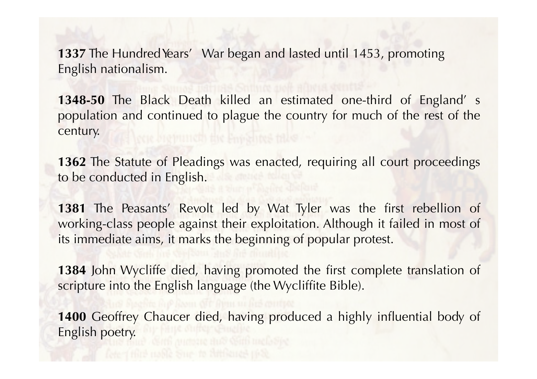**1337** The Hundred Years' War began and lasted until 1453, promoting English nationalism.

**1348-50** The Black Death killed an estimated one-third of England' s population and continued to plague the country for much of the rest of the century.

**1362** The Statute of Pleadings was enacted, requiring all court proceedings to be conducted in English.

**1381** The Peasants' Revolt led by Wat Tyler was the first rebellion of working-class people against their exploitation. Although it failed in most of its immediate aims, it marks the beginning of popular protest.

**1384** John Wycliffe died, having promoted the first complete translation of scripture into the English language (the Wycliffite Bible).

1400 Geoffrey Chaucer died, having produced a highly influential body of English poetry.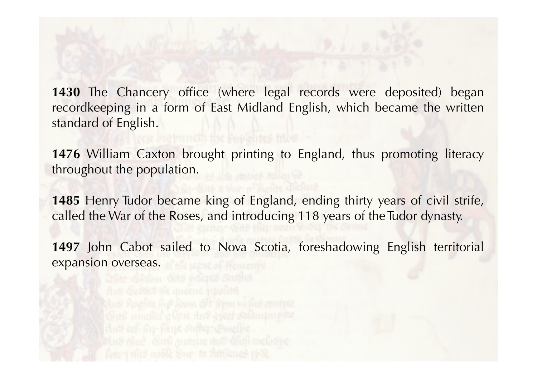**1430** The Chancery office (where legal records were deposited) began recordkeeping in a form of East Midland English, which became the written standard of English.

**1476** William Caxton brought printing to England, thus promoting literacy throughout the population.

**1485** Henry Tudor became king of England, ending thirty years of civil strife, called the War of the Roses, and introducing 118 years of the Tudor dynasty.

**1497** John Cabot sailed to Nova Scotia, foreshadowing English territorial expansion overseas.